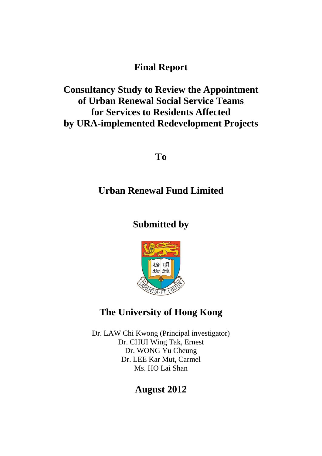# **Final Report**

# **Consultancy Study to Review the Appointment of Urban Renewal Social Service Teams for Services to Residents Affected by URA-implemented Redevelopment Projects**

**To**

# **Urban Renewal Fund Limited**

# **Submitted by**



# **The University of Hong Kong**

Dr. LAW Chi Kwong (Principal investigator) Dr. CHUI Wing Tak, Ernest Dr. WONG Yu Cheung Dr. LEE Kar Mut, Carmel Ms. HO Lai Shan

# **August 2012**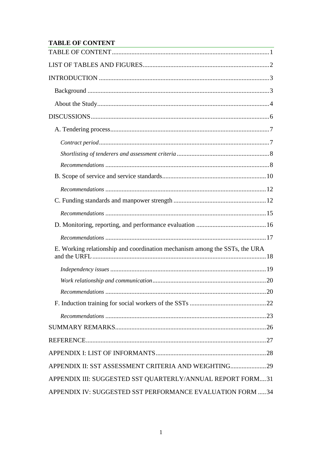# <span id="page-1-0"></span>**TABLE OF CONTENT**

| E. Working relationship and coordination mechanism among the SSTs, the URA |
|----------------------------------------------------------------------------|
|                                                                            |
|                                                                            |
|                                                                            |
|                                                                            |
|                                                                            |
|                                                                            |
|                                                                            |
|                                                                            |
| APPENDIX II: SST ASSESSMENT CRITERIA AND WEIGHTING29                       |
| APPENDIX III: SUGGESTED SST QUARTERLY/ANNUAL REPORT FORM31                 |
| APPENDIX IV: SUGGESTED SST PERFORMANCE EVALUATION FORM  34                 |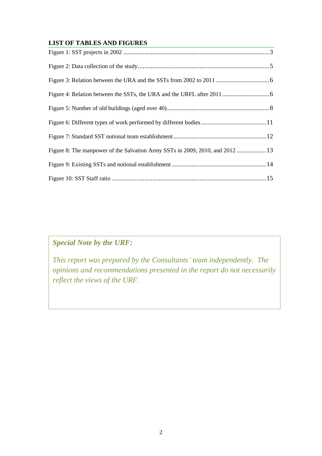### <span id="page-2-0"></span>**LIST OF TABLES AND FIGURES**

| Figure 8: The manpower of the Salvation Army SSTs in 2009, 2010, and 2012  13 |  |
|-------------------------------------------------------------------------------|--|
|                                                                               |  |
|                                                                               |  |

# *Special Note by the URF:*

*This report was prepared by the Consultants' team independently. The opinions and recommendations presented in the report do not necessarily reflect the views of the URF.*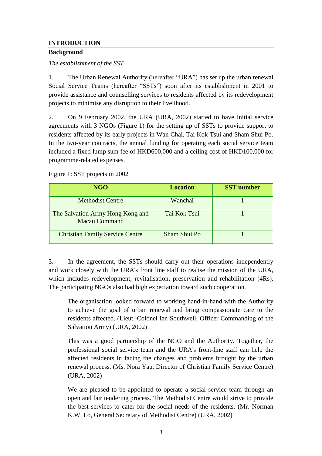### <span id="page-3-0"></span>**INTRODUCTION**

### <span id="page-3-1"></span>**Background**

*The establishment of the SST*

1. The Urban Renewal Authority (hereafter "URA") has set up the urban renewal Social Service Teams (hereafter "SSTs") soon after its establishment in 2001 to provide assistance and counselling services to residents affected by its redevelopment projects to minimise any disruption to their livelihood.

2. On 9 February 2002, the URA (URA, 2002) started to have initial service agreements with 3 NGOs (Figure 1) for the setting up of SSTs to provide support to residents affected by its early projects in Wan Chai, Tai Kok Tsui and Sham Shui Po. In the two-year contracts, the annual funding for operating each social service team included a fixed lump sum fee of HKD600,000 and a ceiling cost of HKD100,000 for programme-related expenses.

### <span id="page-3-2"></span>Figure 1: SST projects in 2002

| <b>NGO</b>                                               | <b>Location</b> | <b>SST</b> number |
|----------------------------------------------------------|-----------------|-------------------|
| <b>Methodist Centre</b>                                  | Wanchai         |                   |
| The Salvation Army Hong Kong and<br><b>Macau Command</b> | Tai Kok Tsui    |                   |
| <b>Christian Family Service Centre</b>                   | Sham Shui Po    |                   |

3. In the agreement, the SSTs should carry out their operations independently and work closely with the URA's front line staff to realise the mission of the URA, which includes redevelopment, revitalisation, preservation and rehabilitation (4Rs). The participating NGOs also had high expectation toward such cooperation.

The organisation looked forward to working hand-in-hand with the Authority to achieve the goal of urban renewal and bring compassionate care to the residents affected. (Lieut.-Colonel Ian Southwell, Officer Commanding of the Salvation Army) (URA, 2002)

This was a good partnership of the NGO and the Authority. Together, the professional social service team and the URA's front-line staff can help the affected residents in facing the changes and problems brought by the urban renewal process. (Ms. Nora Yau, Director of Christian Family Service Centre) (URA, 2002)

We are pleased to be appointed to operate a social service team through an open and fair tendering process. The Methodist Centre would strive to provide the best services to cater for the social needs of the residents. (Mr. Norman K.W. Lo, General Secretary of Methodist Centre) (URA, 2002)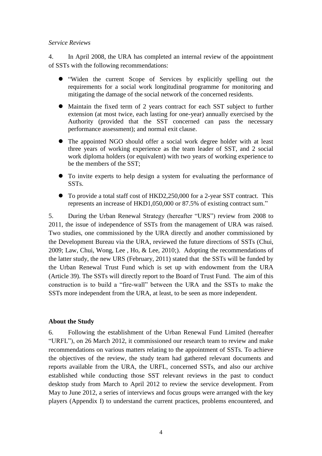#### *Service Reviews*

4. In April 2008, the URA has completed an internal review of the appointment of SSTs with the following recommendations:

- "Widen the current Scope of Services by explicitly spelling out the requirements for a social work longitudinal programme for monitoring and mitigating the damage of the social network of the concerned residents.
- Maintain the fixed term of 2 years contract for each SST subject to further extension (at most twice, each lasting for one-year) annually exercised by the Authority (provided that the SST concerned can pass the necessary performance assessment); and normal exit clause.
- The appointed NGO should offer a social work degree holder with at least three years of working experience as the team leader of SST, and 2 social work diploma holders (or equivalent) with two years of working experience to be the members of the SST;
- To invite experts to help design a system for evaluating the performance of SSTs.
- To provide a total staff cost of HKD2,250,000 for a 2-year SST contract. This represents an increase of HKD1,050,000 or 87.5% of existing contract sum."

5. During the Urban Renewal Strategy (hereafter "URS") review from 2008 to 2011, the issue of independence of SSTs from the management of URA was raised. Two studies, one commissioned by the URA directly and another commissioned by the Development Bureau via the URA, reviewed the future directions of SSTs (Chui, 2009; Law, Chui, Wong, Lee , Ho, & Lee, 2010;). Adopting the recommendations of the latter study, the new URS (February, 2011) stated that the SSTs will be funded by the Urban Renewal Trust Fund which is set up with endowment from the URA (Article 39). The SSTs will directly report to the Board of Trust Fund. The aim of this construction is to build a "fire-wall" between the URA and the SSTs to make the SSTs more independent from the URA, at least, to be seen as more independent.

#### <span id="page-4-0"></span>**About the Study**

6. Following the establishment of the Urban Renewal Fund Limited (hereafter "URFL"), on 26 March 2012, it commissioned our research team to review and make recommendations on various matters relating to the appointment of SSTs. To achieve the objectives of the review, the study team had gathered relevant documents and reports available from the URA, the URFL, concerned SSTs, and also our archive established while conducting those SST relevant reviews in the past to conduct desktop study from March to April 2012 to review the service development. From May to June 2012, a series of interviews and focus groups were arranged with the key players (Appendix I) to understand the current practices, problems encountered, and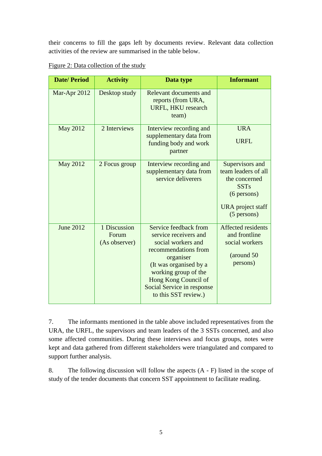their concerns to fill the gaps left by documents review. Relevant data collection activities of the review are summarised in the table below.

| <b>Date/Period</b> | <b>Activity</b>                        | Data type                                                                                                                                                                                                                                 | <b>Informant</b>                                                                                                              |
|--------------------|----------------------------------------|-------------------------------------------------------------------------------------------------------------------------------------------------------------------------------------------------------------------------------------------|-------------------------------------------------------------------------------------------------------------------------------|
| Mar-Apr 2012       | Desktop study                          | Relevant documents and<br>reports (from URA,<br><b>URFL, HKU research</b><br>team)                                                                                                                                                        |                                                                                                                               |
| <b>May 2012</b>    | 2 Interviews                           | Interview recording and<br>supplementary data from<br>funding body and work<br>partner                                                                                                                                                    | <b>URA</b><br><b>URFL</b>                                                                                                     |
| <b>May 2012</b>    | 2 Focus group                          | Interview recording and<br>supplementary data from<br>service deliverers                                                                                                                                                                  | Supervisors and<br>team leaders of all<br>the concerned<br><b>SSTs</b><br>$(6$ persons)<br>URA project staff<br>$(5$ persons) |
| <b>June 2012</b>   | 1 Discussion<br>Forum<br>(As observer) | Service feedback from<br>service receivers and<br>social workers and<br>recommendations from<br>organiser<br>(It was organised by a<br>working group of the<br>Hong Kong Council of<br>Social Service in response<br>to this SST review.) | Affected residents<br>and frontline<br>social workers<br>(around 50<br>persons)                                               |

<span id="page-5-0"></span>Figure 2: Data collection of the study

7. The informants mentioned in the table above included representatives from the URA, the URFL, the supervisors and team leaders of the 3 SSTs concerned, and also some affected communities. During these interviews and focus groups, notes were kept and data gathered from different stakeholders were triangulated and compared to support further analysis.

8. The following discussion will follow the aspects (A - F) listed in the scope of study of the tender documents that concern SST appointment to facilitate reading.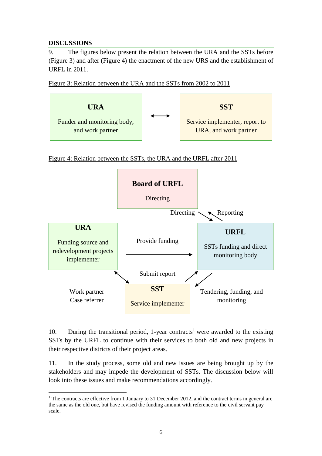### <span id="page-6-0"></span>**DISCUSSIONS**

9. The figures below present the relation between the URA and the SSTs before (Figure 3) and after (Figure 4) the enactment of the new URS and the establishment of URFL in 2011.

<span id="page-6-1"></span>



<span id="page-6-2"></span>Figure 4: Relation between the SSTs, the URA and the URFL after 2011



10. During the transitional period, 1-year contracts<sup>1</sup> were awarded to the existing SSTs by the URFL to continue with their services to both old and new projects in their respective districts of their project areas.

11. In the study process, some old and new issues are being brought up by the stakeholders and may impede the development of SSTs. The discussion below will look into these issues and make recommendations accordingly.

 $\overline{a}$ <sup>1</sup> The contracts are effective from 1 January to 31 December 2012, and the contract terms in general are the same as the old one, but have revised the funding amount with reference to the civil servant pay scale.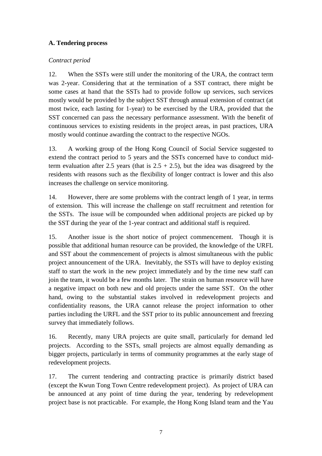## <span id="page-7-0"></span>**A. Tendering process**

### <span id="page-7-1"></span>*Contract period*

12. When the SSTs were still under the monitoring of the URA, the contract term was 2-year. Considering that at the termination of a SST contract, there might be some cases at hand that the SSTs had to provide follow up services, such services mostly would be provided by the subject SST through annual extension of contract (at most twice, each lasting for 1-year) to be exercised by the URA, provided that the SST concerned can pass the necessary performance assessment. With the benefit of continuous services to existing residents in the project areas, in past practices, URA mostly would continue awarding the contract to the respective NGOs.

13. A working group of the Hong Kong Council of Social Service suggested to extend the contract period to 5 years and the SSTs concerned have to conduct midterm evaluation after 2.5 years (that is  $2.5 + 2.5$ ), but the idea was disagreed by the residents with reasons such as the flexibility of longer contract is lower and this also increases the challenge on service monitoring.

14. However, there are some problems with the contract length of 1 year, in terms of extension. This will increase the challenge on staff recruitment and retention for the SSTs. The issue will be compounded when additional projects are picked up by the SST during the year of the 1-year contract and additional staff is required.

15. Another issue is the short notice of project commencement. Though it is possible that additional human resource can be provided, the knowledge of the URFL and SST about the commencement of projects is almost simultaneous with the public project announcement of the URA. Inevitably, the SSTs will have to deploy existing staff to start the work in the new project immediately and by the time new staff can join the team, it would be a few months later. The strain on human resource will have a negative impact on both new and old projects under the same SST. On the other hand, owing to the substantial stakes involved in redevelopment projects and confidentiality reasons, the URA cannot release the project information to other parties including the URFL and the SST prior to its public announcement and freezing survey that immediately follows.

16. Recently, many URA projects are quite small, particularly for demand led projects. According to the SSTs, small projects are almost equally demanding as bigger projects, particularly in terms of community programmes at the early stage of redevelopment projects.

17. The current tendering and contracting practice is primarily district based (except the Kwun Tong Town Centre redevelopment project). As project of URA can be announced at any point of time during the year, tendering by redevelopment project base is not practicable. For example, the Hong Kong Island team and the Yau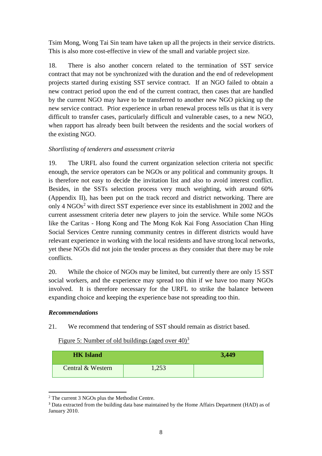Tsim Mong, Wong Tai Sin team have taken up all the projects in their service districts. This is also more cost-effective in view of the small and variable project size.

18. There is also another concern related to the termination of SST service contract that may not be synchronized with the duration and the end of redevelopment projects started during existing SST service contract. If an NGO failed to obtain a new contract period upon the end of the current contract, then cases that are handled by the current NGO may have to be transferred to another new NGO picking up the new service contract. Prior experience in urban renewal process tells us that it is very difficult to transfer cases, particularly difficult and vulnerable cases, to a new NGO, when rapport has already been built between the residents and the social workers of the existing NGO.

### <span id="page-8-0"></span>*Shortlisting of tenderers and assessment criteria*

19. The URFL also found the current organization selection criteria not specific enough, the service operators can be NGOs or any political and community groups. It is therefore not easy to decide the invitation list and also to avoid interest conflict. Besides, in the SSTs selection process very much weighting, with around 60% (Appendix II), has been put on the track record and district networking. There are only 4  $NGOs<sup>2</sup>$  with direct SST experience ever since its establishment in 2002 and the current assessment criteria deter new players to join the service. While some NGOs like the Caritas - Hong Kong and The Mong Kok Kai Fong Association Chan Hing Social Services Centre running community centres in different districts would have relevant experience in working with the local residents and have strong local networks, yet these NGOs did not join the tender process as they consider that there may be role conflicts.

20. While the choice of NGOs may be limited, but currently there are only 15 SST social workers, and the experience may spread too thin if we have too many NGOs involved. It is therefore necessary for the URFL to strike the balance between expanding choice and keeping the experience base not spreading too thin.

### <span id="page-8-1"></span>*Recommendations*

21. We recommend that tendering of SST should remain as district based.

<span id="page-8-2"></span>Figure 5: Number of old buildings (aged over  $40<sup>3</sup>$ )

| <b>HK Island</b>  |       | 3,449 |
|-------------------|-------|-------|
| Central & Western | 1,253 |       |

 $\overline{a}$ <sup>2</sup> The current 3 NGOs plus the Methodist Centre.

<sup>&</sup>lt;sup>3</sup> Data extracted from the building data base maintained by the Home Affairs Department (HAD) as of January 2010.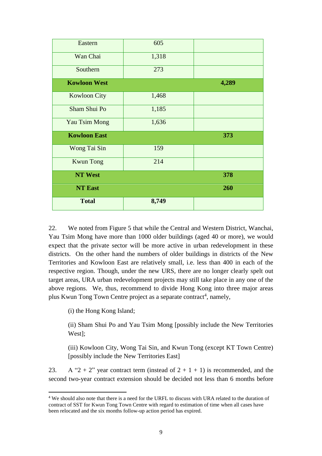| Eastern              | 605   |       |
|----------------------|-------|-------|
| Wan Chai             | 1,318 |       |
| Southern             | 273   |       |
| <b>Kowloon West</b>  |       | 4,289 |
| <b>Kowloon City</b>  | 1,468 |       |
| Sham Shui Po         | 1,185 |       |
| <b>Yau Tsim Mong</b> | 1,636 |       |
| <b>Kowloon East</b>  |       | 373   |
| Wong Tai Sin         | 159   |       |
| <b>Kwun Tong</b>     | 214   |       |
| <b>NT West</b>       |       | 378   |
| <b>NT East</b>       |       | 260   |
| <b>Total</b>         | 8,749 |       |

22. We noted from Figure 5 that while the Central and Western District, Wanchai, Yau Tsim Mong have more than 1000 older buildings (aged 40 or more), we would expect that the private sector will be more active in urban redevelopment in these districts. On the other hand the numbers of older buildings in districts of the New Territories and Kowloon East are relatively small, i.e. less than 400 in each of the respective region. Though, under the new URS, there are no longer clearly spelt out target areas, URA urban redevelopment projects may still take place in any one of the above regions. We, thus, recommend to divide Hong Kong into three major areas plus Kwun Tong Town Centre project as a separate contract<sup>4</sup>, namely,

(i) the Hong Kong Island;

 $\overline{a}$ 

(ii) Sham Shui Po and Yau Tsim Mong [possibly include the New Territories West];

(iii) Kowloon City, Wong Tai Sin, and Kwun Tong (except KT Town Centre) [possibly include the New Territories East]

23. A "2 + 2" year contract term (instead of  $2 + 1 + 1$ ) is recommended, and the second two-year contract extension should be decided not less than 6 months before

<sup>4</sup> We should also note that there is a need for the URFL to discuss with URA related to the duration of contract of SST for Kwun Tong Town Centre with regard to estimation of time when all cases have been relocated and the six months follow-up action period has expired.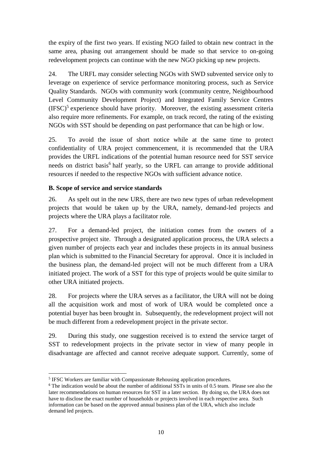the expiry of the first two years. If existing NGO failed to obtain new contract in the same area, phasing out arrangement should be made so that service to on-going redevelopment projects can continue with the new NGO picking up new projects.

24. The URFL may consider selecting NGOs with SWD subvented service only to leverage on experience of service performance monitoring process, such as Service Quality Standards. NGOs with community work (community centre, Neighbourhood Level Community Development Project) and Integrated Family Service Centres  $(IFSC)^5$  experience should have priority. Moreover, the existing assessment criteria also require more refinements. For example, on track record, the rating of the existing NGOs with SST should be depending on past performance that can be high or low.

25. To avoid the issue of short notice while at the same time to protect confidentiality of URA project commencement, it is recommended that the URA provides the URFL indications of the potential human resource need for SST service needs on district basis 6 half yearly, so the URFL can arrange to provide additional resources if needed to the respective NGOs with sufficient advance notice.

## <span id="page-10-0"></span>**B. Scope of service and service standards**

26. As spelt out in the new URS, there are two new types of urban redevelopment projects that would be taken up by the URA, namely, demand-led projects and projects where the URA plays a facilitator role.

27. For a demand-led project, the initiation comes from the owners of a prospective project site. Through a designated application process, the URA selects a given number of projects each year and includes these projects in its annual business plan which is submitted to the Financial Secretary for approval. Once it is included in the business plan, the demand-led project will not be much different from a URA initiated project. The work of a SST for this type of projects would be quite similar to other URA initiated projects.

28. For projects where the URA serves as a facilitator, the URA will not be doing all the acquisition work and most of work of URA would be completed once a potential buyer has been brought in. Subsequently, the redevelopment project will not be much different from a redevelopment project in the private sector.

29. During this study, one suggestion received is to extend the service target of SST to redevelopment projects in the private sector in view of many people in disadvantage are affected and cannot receive adequate support. Currently, some of

 $\overline{a}$ <sup>5</sup> IFSC Workers are familiar with Compassionate Rehousing application procedures.

<sup>&</sup>lt;sup>6</sup> The indication would be about the number of additional SSTs in units of 0.5 team. Please see also the later recommendations on human resources for SST in a later section. By doing so, the URA does not have to disclose the exact number of households or projects involved in each respective area. Such information can be based on the approved annual business plan of the URA, which also include demand led projects.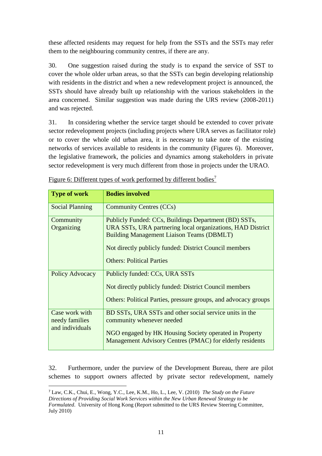these affected residents may request for help from the SSTs and the SSTs may refer them to the neighbouring community centres, if there are any.

30. One suggestion raised during the study is to expand the service of SST to cover the whole older urban areas, so that the SSTs can begin developing relationship with residents in the district and when a new redevelopment project is announced, the SSTs should have already built up relationship with the various stakeholders in the area concerned. Similar suggestion was made during the URS review (2008-2011) and was rejected.

31. In considering whether the service target should be extended to cover private sector redevelopment projects (including projects where URA serves as facilitator role) or to cover the whole old urban area, it is necessary to take note of the existing networks of services available to residents in the community (Figures 6). Moreover, the legislative framework, the policies and dynamics among stakeholders in private sector redevelopment is very much different from those in projects under the URAO.

| <b>Type of work</b>                                 | <b>Bodies involved</b>                                                                                                                                                                                                                                                |
|-----------------------------------------------------|-----------------------------------------------------------------------------------------------------------------------------------------------------------------------------------------------------------------------------------------------------------------------|
| <b>Social Planning</b>                              | <b>Community Centres (CCs)</b>                                                                                                                                                                                                                                        |
| Community<br>Organizing                             | Publicly Funded: CCs, Buildings Department (BD) SSTs,<br>URA SSTs, URA partnering local organizations, HAD District<br><b>Building Management Liaison Teams (DBMLT)</b><br>Not directly publicly funded: District Council members<br><b>Others: Political Parties</b> |
| Policy Advocacy                                     | Publicly funded: CCs, URA SSTs<br>Not directly publicly funded: District Council members<br>Others: Political Parties, pressure groups, and advocacy groups                                                                                                           |
| Case work with<br>needy families<br>and individuals | BD SSTs, URA SSTs and other social service units in the<br>community whenever needed<br>NGO engaged by HK Housing Society operated in Property<br>Management Advisory Centres (PMAC) for elderly residents                                                            |

<span id="page-11-0"></span>Figure 6: Different types of work performed by different bodies<sup>7</sup>

32. Furthermore, under the purview of the Development Bureau, there are pilot schemes to support owners affected by private sector redevelopment, namely

 $\overline{a}$ 

<sup>7</sup> Law, C.K., Chui, E., Wong, Y.C., Lee, K.M., Ho, L., Lee, V. (2010) *The Study on the Future Directions of Providing Social Work Services within the New Urban Renewal Strategy to be Formulated*. University of Hong Kong (Report submitted to the URS Review Steering Committee, July 2010)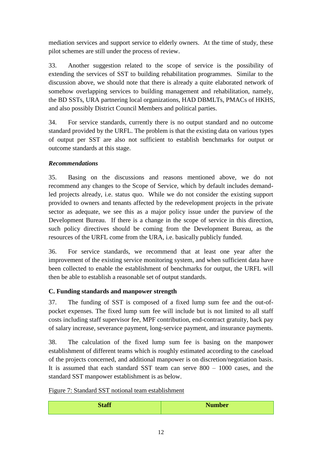mediation services and support service to elderly owners. At the time of study, these pilot schemes are still under the process of review.

33. Another suggestion related to the scope of service is the possibility of extending the services of SST to building rehabilitation programmes. Similar to the discussion above, we should note that there is already a quite elaborated network of somehow overlapping services to building management and rehabilitation, namely, the BD SSTs, URA partnering local organizations, HAD DBMLTs, PMACs of HKHS, and also possibly District Council Members and political parties.

34. For service standards, currently there is no output standard and no outcome standard provided by the URFL. The problem is that the existing data on various types of output per SST are also not sufficient to establish benchmarks for output or outcome standards at this stage.

## <span id="page-12-0"></span>*Recommendations*

35. Basing on the discussions and reasons mentioned above, we do not recommend any changes to the Scope of Service, which by default includes demandled projects already, i.e. status quo. While we do not consider the existing support provided to owners and tenants affected by the redevelopment projects in the private sector as adequate, we see this as a major policy issue under the purview of the Development Bureau. If there is a change in the scope of service in this direction, such policy directives should be coming from the Development Bureau, as the resources of the URFL come from the URA, i.e. basically publicly funded.

36. For service standards, we recommend that at least one year after the improvement of the existing service monitoring system, and when sufficient data have been collected to enable the establishment of benchmarks for output, the URFL will then be able to establish a reasonable set of output standards.

## <span id="page-12-1"></span>**C. Funding standards and manpower strength**

37. The funding of SST is composed of a fixed lump sum fee and the out-ofpocket expenses. The fixed lump sum fee will include but is not limited to all staff costs including staff supervisor fee, MPF contribution, end-contract gratuity, back pay of salary increase, severance payment, long-service payment, and insurance payments.

38. The calculation of the fixed lump sum fee is basing on the manpower establishment of different teams which is roughly estimated according to the caseload of the projects concerned, and additional manpower is on discretion/negotiation basis. It is assumed that each standard SST team can serve 800 – 1000 cases, and the standard SST manpower establishment is as below.

<span id="page-12-2"></span>Figure 7: Standard SST notional team establishment

| <b>Staff</b> | <b>Number</b> |
|--------------|---------------|
|              |               |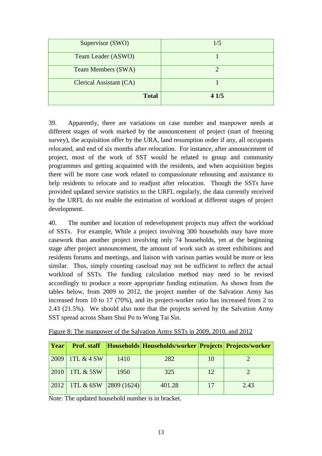| Supervisor (SWO)          | 1/5  |
|---------------------------|------|
| Team Leader (ASWO)        |      |
| <b>Team Members (SWA)</b> |      |
| Clerical Assistant (CA)   |      |
| <b>Total</b>              | 41/5 |

39. Apparently, there are variations on case number and manpower needs at different stages of work marked by the announcement of project (start of freezing survey), the acquisition offer by the URA, land resumption order if any, all occupants relocated, and end of six months after relocation. For instance, after announcement of project, most of the work of SST would be related to group and community programmes and getting acquainted with the residents, and when acquisition begins there will be more case work related to compassionate rehousing and assistance to help residents to relocate and to readjust after relocation. Though the SSTs have provided updated service statistics to the URFL regularly, the data currently received by the URFL do not enable the estimation of workload at different stages of project development.

40. The number and location of redevelopment projects may affect the workload of SSTs. For example, While a project involving 300 households may have more casework than another project involving only 74 households, yet at the beginning stage after project announcement, the amount of work such as street exhibitions and residents forums and meetings, and liaison with various parties would be more or less similar. Thus, simply counting caseload may not be sufficient to reflect the actual workload of SSTs. The funding calculation method may need to be revised accordingly to produce a more appropriate funding estimation. As shown from the tables below, from 2009 to 2012, the project number of the Salvation Army has increased from 10 to 17 (70%), and its project-worker ratio has increased from 2 to 2.43 (21.5%). We should also note that the projects served by the Salvation Army SST spread across Sham Shui Po to Wong Tai Sin.

| Year | <b>Prof.</b> staff   |            | Households  Households/worker   Projects   Projects/worker |    |      |
|------|----------------------|------------|------------------------------------------------------------|----|------|
| 2009 | 1TL $&$ 4 SW         | 1410       | 282                                                        | 10 |      |
| 2010 | <b>1TL &amp; 5SW</b> | 1950       | 325                                                        | 12 |      |
| 2012 | 1TL $&$ 6SW          | 2809(1624) | 401.28                                                     | 17 | 2.43 |

<span id="page-13-0"></span>Figure 8: The manpower of the Salvation Army SSTs in 2009, 2010, and 2012

Note: The updated household number is in bracket.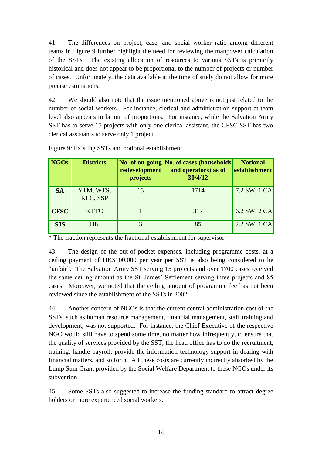41. The differences on project, case, and social worker ratio among different teams in Figure 9 further highlight the need for reviewing the manpower calculation of the SSTs. The existing allocation of resources to various SSTs is primarily historical and does not appear to be proportional to the number of projects or number of cases. Unfortunately, the data available at the time of study do not allow for more precise estimations.

42. We should also note that the issue mentioned above is not just related to the number of social workers. For instance, clerical and administration support at team level also appears to be out of proportions. For instance, while the Salvation Army SST has to serve 15 projects with only one clerical assistant, the CFSC SST has two clerical assistants to serve only 1 project.

| NGO <sub>s</sub> | <b>Districts</b>      | redevelopment<br>projects | No. of on-going No. of cases (households)<br>and operators) as of<br>30/4/12 | <b>Notional</b><br>establishment |
|------------------|-----------------------|---------------------------|------------------------------------------------------------------------------|----------------------------------|
| <b>SA</b>        | YTM, WTS,<br>KLC, SSP | 15                        | 1714                                                                         | 7.2 SW, 1 CA                     |
| <b>CFSC</b>      | <b>KTTC</b>           |                           | 317                                                                          | $6.2$ SW, $2$ CA                 |
| <b>SJS</b>       | <b>HK</b>             | 3                         | 85                                                                           | $2.2$ SW, 1 CA                   |

### <span id="page-14-0"></span>Figure 9: Existing SSTs and notional establishment

\* The fraction represents the fractional establishment for supervisor.

43. The design of the out-of-pocket expenses, including programme costs, at a ceiling payment of HK\$100,000 per year per SST is also being considered to be "unfair". The Salvation Army SST serving 15 projects and over 1700 cases received the same ceiling amount as the St. James' Settlement serving three projects and 85 cases. Moreover, we noted that the ceiling amount of programme fee has not been reviewed since the establishment of the SSTs in 2002.

44. Another concern of NGOs is that the current central administration cost of the SSTs, such as human resource management, financial management, staff training and development, was not supported. For instance, the Chief Executive of the respective NGO would still have to spend some time, no matter how infrequently, to ensure that the quality of services provided by the SST; the head office has to do the recruitment, training, handle payroll, provide the information technology support in dealing with financial matters, and so forth. All these costs are currently indirectly absorbed by the Lump Sum Grant provided by the Social Welfare Department to these NGOs under its subvention.

45. Some SSTs also suggested to increase the funding standard to attract degree holders or more experienced social workers.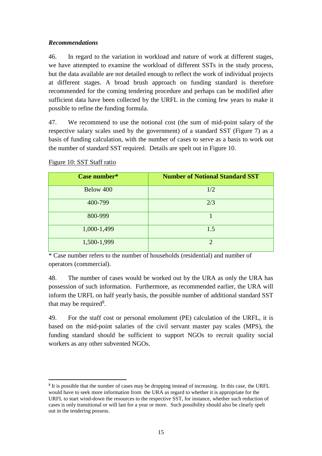### <span id="page-15-0"></span>*Recommendations*

46. In regard to the variation in workload and nature of work at different stages, we have attempted to examine the workload of different SSTs in the study process, but the data available are not detailed enough to reflect the work of individual projects at different stages. A broad brush approach on funding standard is therefore recommended for the coming tendering procedure and perhaps can be modified after sufficient data have been collected by the URFL in the coming few years to make it possible to refine the funding formula.

47. We recommend to use the notional cost (the sum of mid-point salary of the respective salary scales used by the government) of a standard SST (Figure 7) as a basis of funding calculation, with the number of cases to serve as a basis to work out the number of standard SST required. Details are spelt out in Figure 10.

| Case number* | <b>Number of Notional Standard SST</b> |
|--------------|----------------------------------------|
| Below 400    | 1/2                                    |
| 400-799      | 2/3                                    |
| 800-999      |                                        |
| 1,000-1,499  | 1.5                                    |
| 1,500-1,999  | $\mathcal{D}$                          |

<span id="page-15-1"></span>Figure 10: SST Staff ratio

 $\overline{a}$ 

\* Case number refers to the number of households (residential) and number of operators (commercial).

48. The number of cases would be worked out by the URA as only the URA has possession of such information. Furthermore, as recommended earlier, the URA will inform the URFL on half yearly basis, the possible number of additional standard SST that may be required<sup>8</sup>.

49. For the staff cost or personal emolument (PE) calculation of the URFL, it is based on the mid-point salaries of the civil servant master pay scales (MPS), the funding standard should be sufficient to support NGOs to recruit quality social workers as any other subvented NGOs.

<sup>8</sup> It is possible that the number of cases may be dropping instead of increasing. In this case, the URFL would have to seek more information from the URA as regard to whether it is appropriate for the URFL to start wind-down the resources to the respective SST, for instance, whether such reduction of cases is only transitional or will last for a year or more. Such possibility should also be clearly spelt out in the tendering possess.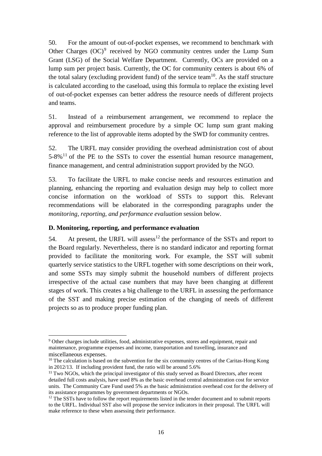50. For the amount of out-of-pocket expenses, we recommend to benchmark with Other Charges  $(OC)^9$  received by NGO community centres under the Lump Sum Grant (LSG) of the Social Welfare Department. Currently, OCs are provided on a lump sum per project basis. Currently, the OC for community centers is about 6% of the total salary (excluding provident fund) of the service team<sup>10</sup>. As the staff structure is calculated according to the caseload, using this formula to replace the existing level of out-of-pocket expenses can better address the resource needs of different projects and teams.

51. Instead of a reimbursement arrangement, we recommend to replace the approval and reimbursement procedure by a simple OC lump sum grant making reference to the list of approvable items adopted by the SWD for community centres.

52. The URFL may consider providing the overhead administration cost of about  $5-8\%$ <sup>11</sup> of the PE to the SSTs to cover the essential human resource management, finance management, and central administration support provided by the NGO.

53. To facilitate the URFL to make concise needs and resources estimation and planning, enhancing the reporting and evaluation design may help to collect more concise information on the workload of SSTs to support this. Relevant recommendations will be elaborated in the corresponding paragraphs under the *monitoring, reporting, and performance evaluation* session below.

### <span id="page-16-0"></span>**D. Monitoring, reporting, and performance evaluation**

 $\ddot{\phantom{a}}$ 

54. At present, the URFL will assess<sup>12</sup> the performance of the SSTs and report to the Board regularly. Nevertheless, there is no standard indicator and reporting format provided to facilitate the monitoring work. For example, the SST will submit quarterly service statistics to the URFL together with some descriptions on their work, and some SSTs may simply submit the household numbers of different projects irrespective of the actual case numbers that may have been changing at different stages of work. This creates a big challenge to the URFL in assessing the performance of the SST and making precise estimation of the changing of needs of different projects so as to produce proper funding plan.

<sup>&</sup>lt;sup>9</sup> Other charges include utilities, food, administrative expenses, stores and equipment, repair and maintenance, programme expenses and income, transportation and travelling, insurance and miscellaneous expenses.

 $10$  The calculation is based on the subvention for the six community centres of the Caritas-Hong Kong in 2012/13. If including provident fund, the ratio will be around 5.6%

<sup>&</sup>lt;sup>11</sup> Two NGOs, which the principal investigator of this study served as Board Directors, after recent detailed full costs analysis, have used 8% as the basic overhead central administration cost for service units. The Community Care Fund used 5% as the basic administration overhead cost for the delivery of its assistance programmes by government departments or NGOs.

 $12$  The SSTs have to follow the report requirements listed in the tender document and to submit reports to the URFL. Individual SST also will propose the service indicators in their proposal. The URFL will make reference to these when assessing their performance.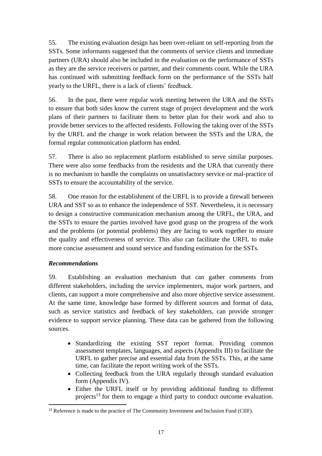55. The existing evaluation design has been over-reliant on self-reporting from the SSTs. Some informants suggested that the comments of service clients and immediate partners (URA) should also be included in the evaluation on the performance of SSTs as they are the service receivers or partner, and their comments count. While the URA has continued with submitting feedback form on the performance of the SSTs half yearly to the URFL, there is a lack of clients' feedback.

56. In the past, there were regular work meeting between the URA and the SSTs to ensure that both sides know the current stage of project development and the work plans of their partners to facilitate them to better plan for their work and also to provide better services to the affected residents. Following the taking over of the SSTs by the URFL and the change in work relation between the SSTs and the URA, the formal regular communication platform has ended.

57. There is also no replacement platform established to serve similar purposes. There were also some feedbacks from the residents and the URA that currently there is no mechanism to handle the complaints on unsatisfactory service or mal-practice of SSTs to ensure the accountability of the service.

58. One reason for the establishment of the URFL is to provide a firewall between URA and SST so as to enhance the independence of SST. Nevertheless, it is necessary to design a constructive communication mechanism among the URFL, the URA, and the SSTs to ensure the parties involved have good grasp on the progress of the work and the problems (or potential problems) they are facing to work together to ensure the quality and effectiveness of service. This also can facilitate the URFL to make more concise assessment and sound service and funding estimation for the SSTs.

## <span id="page-17-0"></span>*Recommendations*

 $\overline{a}$ 

59. Establishing an evaluation mechanism that can gather comments from different stakeholders, including the service implementers, major work partners, and clients, can support a more comprehensive and also more objective service assessment. At the same time, knowledge base formed by different sources and format of data, such as service statistics and feedback of key stakeholders, can provide stronger evidence to support service planning. These data can be gathered from the following sources.

- Standardizing the existing SST report format. Providing common assessment templates, languages, and aspects (Appendix III) to facilitate the URFL to gather precise and essential data from the SSTs. This, at the same time, can facilitate the report writing work of the SSTs.
- Collecting feedback from the URA regularly through standard evaluation form (Appendix IV).
- Either the URFL itself or by providing additional funding to different projects<sup>13</sup> for them to engage a third party to conduct outcome evaluation.

<sup>&</sup>lt;sup>13</sup> Reference is made to the practice of The Community Investment and Inclusion Fund (CIIF).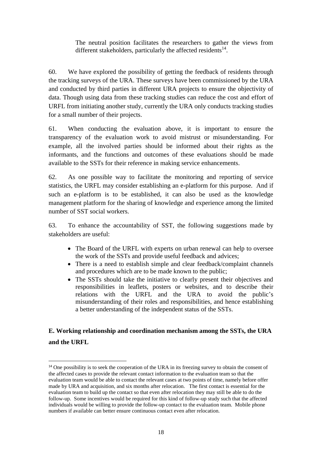The neutral position facilitates the researchers to gather the views from different stakeholders, particularly the affected residents $14$ .

60. We have explored the possibility of getting the feedback of residents through the tracking surveys of the URA. These surveys have been commissioned by the URA and conducted by third parties in different URA projects to ensure the objectivity of data. Though using data from these tracking studies can reduce the cost and effort of URFL from initiating another study, currently the URA only conducts tracking studies for a small number of their projects.

61. When conducting the evaluation above, it is important to ensure the transparency of the evaluation work to avoid mistrust or misunderstanding. For example, all the involved parties should be informed about their rights as the informants, and the functions and outcomes of these evaluations should be made available to the SSTs for their reference in making service enhancements.

62. As one possible way to facilitate the monitoring and reporting of service statistics, the URFL may consider establishing an e-platform for this purpose. And if such an e-platform is to be established, it can also be used as the knowledge management platform for the sharing of knowledge and experience among the limited number of SST social workers.

63. To enhance the accountability of SST, the following suggestions made by stakeholders are useful:

- The Board of the URFL with experts on urban renewal can help to oversee the work of the SSTs and provide useful feedback and advices;
- There is a need to establish simple and clear feedback/complaint channels and procedures which are to be made known to the public;
- The SSTs should take the initiative to clearly present their objectives and responsibilities in leaflets, posters or websites, and to describe their relations with the URFL and the URA to avoid the public's misunderstanding of their roles and responsibilities, and hence establishing a better understanding of the independent status of the SSTs.

# <span id="page-18-0"></span>**E. Working relationship and coordination mechanism among the SSTs, the URA and the URFL**

 $\ddot{\phantom{a}}$ 

<sup>&</sup>lt;sup>14</sup> One possibility is to seek the cooperation of the URA in its freezing survey to obtain the consent of the affected cases to provide the relevant contact information to the evaluation team so that the evaluation team would be able to contact the relevant cases at two points of time, namely before offer made by URA and acquisition, and six months after relocation. The first contact is essential for the evaluation team to build up the contact so that even after relocation they may still be able to do the follow-up. Some incentives would be required for this kind of follow-up study such that the affected individuals would be willing to provide the follow-up contact to the evaluation team. Mobile phone numbers if available can better ensure continuous contact even after relocation.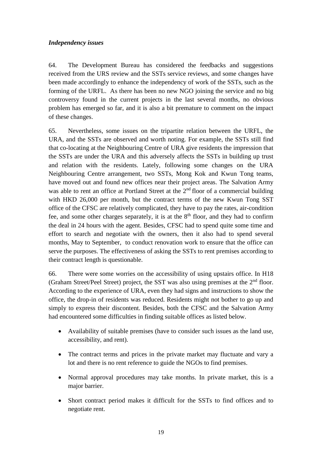### <span id="page-19-0"></span>*Independency issues*

64. The Development Bureau has considered the feedbacks and suggestions received from the URS review and the SSTs service reviews, and some changes have been made accordingly to enhance the independency of work of the SSTs, such as the forming of the URFL. As there has been no new NGO joining the service and no big controversy found in the current projects in the last several months, no obvious problem has emerged so far, and it is also a bit premature to comment on the impact of these changes.

65. Nevertheless, some issues on the tripartite relation between the URFL, the URA, and the SSTs are observed and worth noting. For example, the SSTs still find that co-locating at the Neighbouring Centre of URA give residents the impression that the SSTs are under the URA and this adversely affects the SSTs in building up trust and relation with the residents. Lately, following some changes on the URA Neighbouring Centre arrangement, two SSTs, Mong Kok and Kwun Tong teams, have moved out and found new offices near their project areas. The Salvation Army was able to rent an office at Portland Street at the 2<sup>nd</sup> floor of a commercial building with HKD 26,000 per month, but the contract terms of the new Kwun Tong SST office of the CFSC are relatively complicated, they have to pay the rates, air-condition fee, and some other charges separately, it is at the  $8<sup>th</sup>$  floor, and they had to confirm the deal in 24 hours with the agent. Besides, CFSC had to spend quite some time and effort to search and negotiate with the owners, then it also had to spend several months, May to September, to conduct renovation work to ensure that the office can serve the purposes. The effectiveness of asking the SSTs to rent premises according to their contract length is questionable.

66. There were some worries on the accessibility of using upstairs office. In H18 (Graham Street/Peel Street) project, the SST was also using premises at the 2<sup>nd</sup> floor. According to the experience of URA, even they had signs and instructions to show the office, the drop-in of residents was reduced. Residents might not bother to go up and simply to express their discontent. Besides, both the CFSC and the Salvation Army had encountered some difficulties in finding suitable offices as listed below.

- Availability of suitable premises (have to consider such issues as the land use, accessibility, and rent).
- The contract terms and prices in the private market may fluctuate and vary a lot and there is no rent reference to guide the NGOs to find premises.
- Normal approval procedures may take months. In private market, this is a major barrier.
- Short contract period makes it difficult for the SSTs to find offices and to negotiate rent.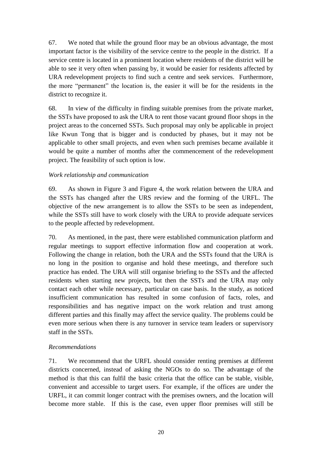67. We noted that while the ground floor may be an obvious advantage, the most important factor is the visibility of the service centre to the people in the district. If a service centre is located in a prominent location where residents of the district will be able to see it very often when passing by, it would be easier for residents affected by URA redevelopment projects to find such a centre and seek services. Furthermore, the more "permanent" the location is, the easier it will be for the residents in the district to recognize it.

68. In view of the difficulty in finding suitable premises from the private market, the SSTs have proposed to ask the URA to rent those vacant ground floor shops in the project areas to the concerned SSTs. Such proposal may only be applicable in project like Kwun Tong that is bigger and is conducted by phases, but it may not be applicable to other small projects, and even when such premises became available it would be quite a number of months after the commencement of the redevelopment project. The feasibility of such option is low.

### <span id="page-20-0"></span>*Work relationship and communication*

69. As shown in Figure 3 and Figure 4, the work relation between the URA and the SSTs has changed after the URS review and the forming of the URFL. The objective of the new arrangement is to allow the SSTs to be seen as independent, while the SSTs still have to work closely with the URA to provide adequate services to the people affected by redevelopment.

70. As mentioned, in the past, there were established communication platform and regular meetings to support effective information flow and cooperation at work. Following the change in relation, both the URA and the SSTs found that the URA is no long in the position to organise and hold these meetings, and therefore such practice has ended. The URA will still organise briefing to the SSTs and the affected residents when starting new projects, but then the SSTs and the URA may only contact each other while necessary, particular on case basis. In the study, as noticed insufficient communication has resulted in some confusion of facts, roles, and responsibilities and has negative impact on the work relation and trust among different parties and this finally may affect the service quality. The problems could be even more serious when there is any turnover in service team leaders or supervisory staff in the SSTs.

## <span id="page-20-1"></span>*Recommendations*

71. We recommend that the URFL should consider renting premises at different districts concerned, instead of asking the NGOs to do so. The advantage of the method is that this can fulfil the basic criteria that the office can be stable, visible, convenient and accessible to target users. For example, if the offices are under the URFL, it can commit longer contract with the premises owners, and the location will become more stable. If this is the case, even upper floor premises will still be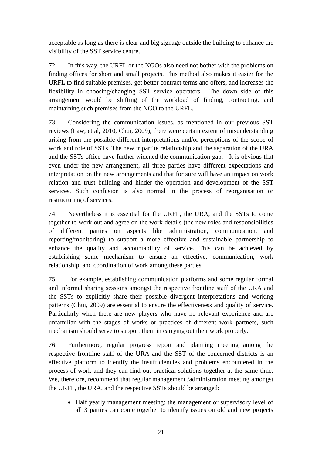acceptable as long as there is clear and big signage outside the building to enhance the visibility of the SST service centre.

72. In this way, the URFL or the NGOs also need not bother with the problems on finding offices for short and small projects. This method also makes it easier for the URFL to find suitable premises, get better contract terms and offers, and increases the flexibility in choosing/changing SST service operators. The down side of this arrangement would be shifting of the workload of finding, contracting, and maintaining such premises from the NGO to the URFL.

73. Considering the communication issues, as mentioned in our previous SST reviews (Law, et al, 2010, Chui, 2009), there were certain extent of misunderstanding arising from the possible different interpretations and/or perceptions of the scope of work and role of SSTs. The new tripartite relationship and the separation of the URA and the SSTs office have further widened the communication gap. It is obvious that even under the new arrangement, all three parties have different expectations and interpretation on the new arrangements and that for sure will have an impact on work relation and trust building and hinder the operation and development of the SST services. Such confusion is also normal in the process of reorganisation or restructuring of services.

74. Nevertheless it is essential for the URFL, the URA, and the SSTs to come together to work out and agree on the work details (the new roles and responsibilities of different parties on aspects like administration, communication, and reporting/monitoring) to support a more effective and sustainable partnership to enhance the quality and accountability of service. This can be achieved by establishing some mechanism to ensure an effective, communication, work relationship, and coordination of work among these parties.

75. For example, establishing communication platforms and some regular formal and informal sharing sessions amongst the respective frontline staff of the URA and the SSTs to explicitly share their possible divergent interpretations and working patterns (Chui, 2009) are essential to ensure the effectiveness and quality of service. Particularly when there are new players who have no relevant experience and are unfamiliar with the stages of works or practices of different work partners, such mechanism should serve to support them in carrying out their work properly.

76. Furthermore, regular progress report and planning meeting among the respective frontline staff of the URA and the SST of the concerned districts is an effective platform to identify the insufficiencies and problems encountered in the process of work and they can find out practical solutions together at the same time. We, therefore, recommend that regular management /administration meeting amongst the URFL, the URA, and the respective SSTs should be arranged:

• Half yearly management meeting: the management or supervisory level of all 3 parties can come together to identify issues on old and new projects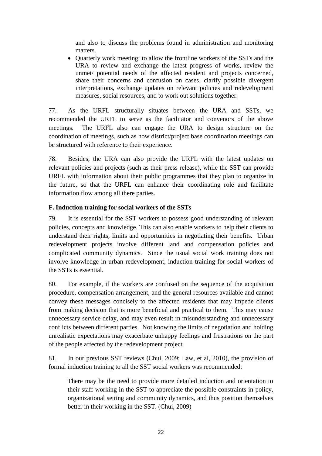and also to discuss the problems found in administration and monitoring matters.

• Quarterly work meeting: to allow the frontline workers of the SSTs and the URA to review and exchange the latest progress of works, review the unmet/ potential needs of the affected resident and projects concerned, share their concerns and confusion on cases, clarify possible divergent interpretations, exchange updates on relevant policies and redevelopment measures, social resources, and to work out solutions together.

77. As the URFL structurally situates between the URA and SSTs, we recommended the URFL to serve as the facilitator and convenors of the above meetings. The URFL also can engage the URA to design structure on the coordination of meetings, such as how district/project base coordination meetings can be structured with reference to their experience.

78. Besides, the URA can also provide the URFL with the latest updates on relevant policies and projects (such as their press release), while the SST can provide URFL with information about their public programmes that they plan to organize in the future, so that the URFL can enhance their coordinating role and facilitate information flow among all there parties.

### <span id="page-22-0"></span>**F. Induction training for social workers of the SSTs**

79. It is essential for the SST workers to possess good understanding of relevant policies, concepts and knowledge. This can also enable workers to help their clients to understand their rights, limits and opportunities in negotiating their benefits. Urban redevelopment projects involve different land and compensation policies and complicated community dynamics. Since the usual social work training does not involve knowledge in urban redevelopment, induction training for social workers of the SSTs is essential.

80. For example, if the workers are confused on the sequence of the acquisition procedure, compensation arrangement, and the general resources available and cannot convey these messages concisely to the affected residents that may impede clients from making decision that is more beneficial and practical to them. This may cause unnecessary service delay, and may even result in misunderstanding and unnecessary conflicts between different parties. Not knowing the limits of negotiation and holding unrealistic expectations may exacerbate unhappy feelings and frustrations on the part of the people affected by the redevelopment project.

81. In our previous SST reviews (Chui, 2009; Law, et al, 2010), the provision of formal induction training to all the SST social workers was recommended:

There may be the need to provide more detailed induction and orientation to their staff working in the SST to appreciate the possible constraints in policy, organizational setting and community dynamics, and thus position themselves better in their working in the SST. (Chui, 2009)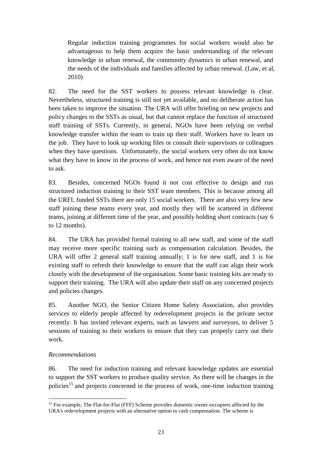Regular induction training programmes for social workers would also be advantageous to help them acquire the basic understanding of the relevant knowledge in urban renewal, the community dynamics in urban renewal, and the needs of the individuals and families affected by urban renewal. (Law, et al, 2010)

82. The need for the SST workers to possess relevant knowledge is clear. Nevertheless, structured training is still not yet available, and no deliberate action has been taken to improve the situation. The URA will offer briefing on new projects and policy changes to the SSTs as usual, but that cannot replace the function of structured staff training of SSTs. Currently, in general, NGOs have been relying on verbal knowledge transfer within the team to train up their staff. Workers have to learn on the job. They have to look up working files or consult their supervisors or colleagues when they have questions. Unfortunately, the social workers very often do not know what they have to know in the process of work, and hence not even aware of the need to ask.

83. Besides, concerned NGOs found it not cost effective to design and run structured induction training to their SST team members. This is because among all the URFL funded SSTs there are only 15 social workers. There are also very few new staff joining these teams every year, and mostly they will be scattered in different teams, joining at different time of the year, and possibly holding short contracts (say 6 to 12 months).

84. The URA has provided formal training to all new staff, and some of the staff may receive more specific training such as compensation calculation. Besides, the URA will offer 2 general staff training annually; 1 is for new staff, and 1 is for existing staff to refresh their knowledge to ensure that the staff can align their work closely with the development of the organisation. Some basic training kits are ready to support their training. The URA will also update their staff on any concerned projects and policies changes.

85. Another NGO, the Senior Citizen Home Safety Association, also provides services to elderly people affected by redevelopment projects in the private sector recently. It has invited relevant experts, such as lawyers and surveyors, to deliver 5 sessions of training to their workers to ensure that they can properly carry out their work.

## <span id="page-23-0"></span>*Recommendations*

86. The need for induction training and relevant knowledge updates are essential to support the SST workers to produce quality service. As there will be changes in the policies<sup>15</sup> and projects concerned in the process of work, one-time induction training

 $\ddot{\phantom{a}}$ <sup>15</sup> For example, The Flat-for-Flat (FFF) Scheme provides domestic owner-occupiers affected by the URA's redevelopment projects with an alternative option to cash compensation. The scheme is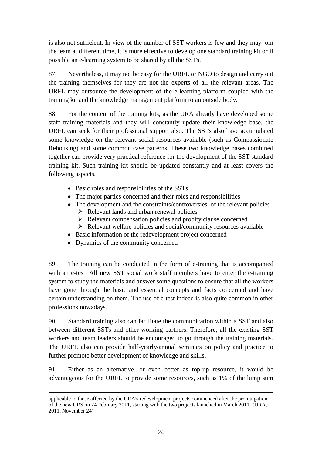is also not sufficient. In view of the number of SST workers is few and they may join the team at different time, it is more effective to develop one standard training kit or if possible an e-learning system to be shared by all the SSTs.

87. Nevertheless, it may not be easy for the URFL or NGO to design and carry out the training themselves for they are not the experts of all the relevant areas. The URFL may outsource the development of the e-learning platform coupled with the training kit and the knowledge management platform to an outside body.

88. For the content of the training kits, as the URA already have developed some staff training materials and they will constantly update their knowledge base, the URFL can seek for their professional support also. The SSTs also have accumulated some knowledge on the relevant social resources available (such as Compassionate Rehousing) and some common case patterns. These two knowledge bases combined together can provide very practical reference for the development of the SST standard training kit. Such training kit should be updated constantly and at least covers the following aspects.

- Basic roles and responsibilities of the SSTs
- The major parties concerned and their roles and responsibilities
- The development and the constraints/controversies of the relevant policies
	- $\triangleright$  Relevant lands and urban renewal policies
	- $\triangleright$  Relevant compensation policies and probity clause concerned
	- $\triangleright$  Relevant welfare policies and social/community resources available
- Basic information of the redevelopment project concerned
- Dynamics of the community concerned

89. The training can be conducted in the form of e-training that is accompanied with an e-test. All new SST social work staff members have to enter the e-training system to study the materials and answer some questions to ensure that all the workers have gone through the basic and essential concepts and facts concerned and have certain understanding on them. The use of e-test indeed is also quite common in other professions nowadays.

90. Standard training also can facilitate the communication within a SST and also between different SSTs and other working partners. Therefore, all the existing SST workers and team leaders should be encouraged to go through the training materials. The URFL also can provide half-yearly/annual seminars on policy and practice to further promote better development of knowledge and skills.

91. Either as an alternative, or even better as top-up resource, it would be advantageous for the URFL to provide some resources, such as 1% of the lump sum

 $\overline{\phantom{a}}$ applicable to those affected by the URA's redevelopment projects commenced after the promulgation of the new URS on 24 February 2011, starting with the two projects launched in March 2011. (URA, 2011, November 24)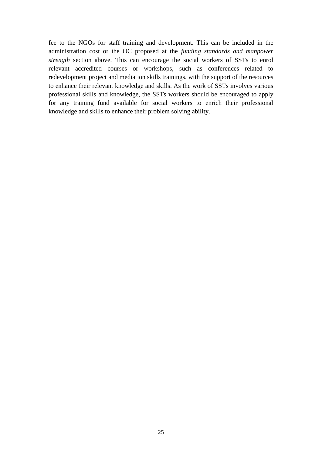fee to the NGOs for staff training and development. This can be included in the administration cost or the OC proposed at the *funding standards and manpower strength* section above. This can encourage the social workers of SSTs to enrol relevant accredited courses or workshops, such as conferences related to redevelopment project and mediation skills trainings, with the support of the resources to enhance their relevant knowledge and skills. As the work of SSTs involves various professional skills and knowledge, the SSTs workers should be encouraged to apply for any training fund available for social workers to enrich their professional knowledge and skills to enhance their problem solving ability.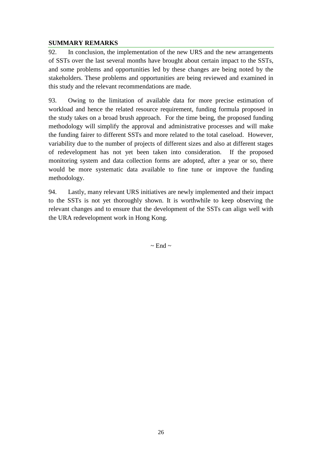### <span id="page-26-0"></span>**SUMMARY REMARKS**

92. In conclusion, the implementation of the new URS and the new arrangements of SSTs over the last several months have brought about certain impact to the SSTs, and some problems and opportunities led by these changes are being noted by the stakeholders. These problems and opportunities are being reviewed and examined in this study and the relevant recommendations are made.

93. Owing to the limitation of available data for more precise estimation of workload and hence the related resource requirement, funding formula proposed in the study takes on a broad brush approach. For the time being, the proposed funding methodology will simplify the approval and administrative processes and will make the funding fairer to different SSTs and more related to the total caseload. However, variability due to the number of projects of different sizes and also at different stages of redevelopment has not yet been taken into consideration. If the proposed monitoring system and data collection forms are adopted, after a year or so, there would be more systematic data available to fine tune or improve the funding methodology.

94. Lastly, many relevant URS initiatives are newly implemented and their impact to the SSTs is not yet thoroughly shown. It is worthwhile to keep observing the relevant changes and to ensure that the development of the SSTs can align well with the URA redevelopment work in Hong Kong.

 $\sim$  End  $\sim$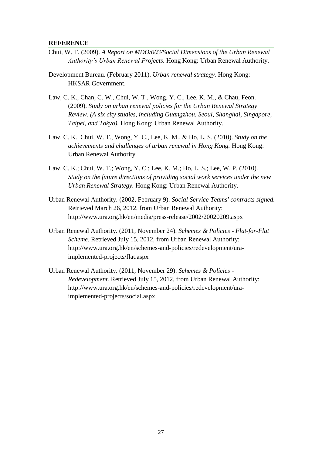#### <span id="page-27-0"></span>**REFERENCE**

- Chui, W. T. (2009). *A Report on MDO/003/Social Dimensions of the Urban Renewal Authority's Urban Renewal Projects.* Hong Kong: Urban Renewal Authority.
- Development Bureau. (February 2011). *Urban renewal strategy.* Hong Kong: HKSAR Government.
- Law, C. K., Chan, C. W., Chui, W. T., Wong, Y. C., Lee, K. M., & Chau, Feon. (2009). *Study on urban renewal policies for the Urban Renewal Strategy Review. (A six city studies, including Guangzhou, Seoul, Shanghai, Singapore, Taipei, and Tokyo).* Hong Kong: Urban Renewal Authority.
- Law, C. K., Chui, W. T., Wong, Y. C., Lee, K. M., & Ho, L. S. (2010). *Study on the achievements and challenges of urban renewal in Hong Kong.* Hong Kong: Urban Renewal Authority.
- Law, C. K.; Chui, W. T.; Wong, Y. C.; Lee, K. M.; Ho, L. S.; Lee, W. P. (2010). *Study on the future directions of providing social work services under the new Urban Renewal Strategy.* Hong Kong: Urban Renewal Authority.
- Urban Renewal Authority. (2002, February 9). *Social Service Teams' contracts signed.* Retrieved March 26, 2012, from Urban Renewal Authority: http://www.ura.org.hk/en/media/press-release/2002/20020209.aspx
- Urban Renewal Authority. (2011, November 24). *Schemes & Policies - Flat-for-Flat Scheme*. Retrieved July 15, 2012, from Urban Renewal Authority: http://www.ura.org.hk/en/schemes-and-policies/redevelopment/uraimplemented-projects/flat.aspx
- Urban Renewal Authority. (2011, November 29). *Schemes & Policies - Redevelopment.* Retrieved July 15, 2012, from Urban Renewal Authority: http://www.ura.org.hk/en/schemes-and-policies/redevelopment/uraimplemented-projects/social.aspx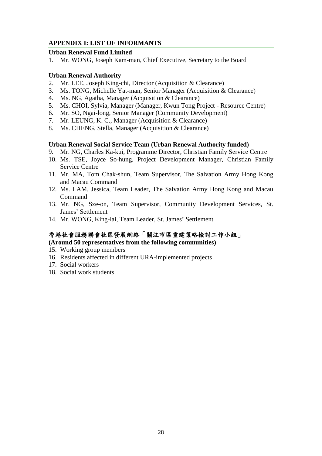### <span id="page-28-0"></span>**APPENDIX I: LIST OF INFORMANTS**

### **Urban Renewal Fund Limited**

1. Mr. WONG, Joseph Kam-man, Chief Executive, Secretary to the Board

### **Urban Renewal Authority**

- 2. Mr. LEE, Joseph King-chi, Director (Acquisition & Clearance)
- 3. Ms. TONG, Michelle Yat-man, Senior Manager (Acquisition & Clearance)
- 4. Ms. NG, Agatha, Manager (Acquisition & Clearance)
- 5. Ms. CHOI, Sylvia, Manager (Manager, Kwun Tong Project Resource Centre)
- 6. Mr. SO, Ngai-long, Senior Manager (Community Development)
- 7. Mr. LEUNG, K. C., Manager (Acquisition & Clearance)
- 8. Ms. CHENG, Stella, Manager (Acquisition & Clearance)

### **Urban Renewal Social Service Team (Urban Renewal Authority funded)**

- 9. Mr. NG, Charles Ka-kui, Programme Director, Christian Family Service Centre
- 10. Ms. TSE, Joyce So-hung, Project Development Manager, Christian Family Service Centre
- 11. Mr. MA, Tom Chak-shun, Team Supervisor, The Salvation Army Hong Kong and Macau Command
- 12. Ms. LAM, Jessica, Team Leader, The Salvation Army Hong Kong and Macau Command
- 13. Mr. NG, Sze-on, Team Supervisor, Community Development Services, St. James' Settlement
- 14. Mr. WONG, King-lai, Team Leader, St. James' Settlement

## 香港社會服務聯會社區發展網絡「關注市區重建策略檢討工作小組」

### **(Around 50 representatives from the following communities)**

- 15. Working group members
- 16. Residents affected in different URA-implemented projects
- 17. Social workers
- 18. Social work students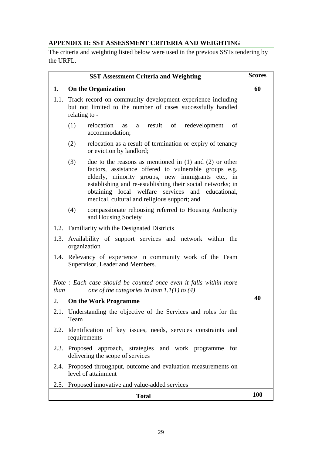# <span id="page-29-0"></span>**APPENDIX II: SST ASSESSMENT CRITERIA AND WEIGHTING**

The criteria and weighting listed below were used in the previous SSTs tendering by the URFL.

|                                  | <b>SST Assessment Criteria and Weighting</b>                                                                                                                                                                                                                                                                                                        | <b>Scores</b> |  |
|----------------------------------|-----------------------------------------------------------------------------------------------------------------------------------------------------------------------------------------------------------------------------------------------------------------------------------------------------------------------------------------------------|---------------|--|
| <b>On the Organization</b><br>1. |                                                                                                                                                                                                                                                                                                                                                     |               |  |
| 1.1.                             | Track record on community development experience including<br>but not limited to the number of cases successfully handled<br>relating to -                                                                                                                                                                                                          |               |  |
|                                  | (1)<br>relocation<br>result of<br>redevelopment<br>οf<br><b>as</b><br>a<br>accommodation;                                                                                                                                                                                                                                                           |               |  |
|                                  | (2)<br>relocation as a result of termination or expiry of tenancy<br>or eviction by landlord;                                                                                                                                                                                                                                                       |               |  |
|                                  | (3)<br>due to the reasons as mentioned in $(1)$ and $(2)$ or other<br>factors, assistance offered to vulnerable groups e.g.<br>elderly, minority groups, new immigrants etc., in<br>establishing and re-establishing their social networks; in<br>obtaining local welfare services and educational,<br>medical, cultural and religious support; and |               |  |
|                                  | (4)<br>compassionate rehousing referred to Housing Authority<br>and Housing Society                                                                                                                                                                                                                                                                 |               |  |
|                                  | 1.2. Familiarity with the Designated Districts                                                                                                                                                                                                                                                                                                      |               |  |
|                                  | 1.3. Availability of support services and network within the<br>organization                                                                                                                                                                                                                                                                        |               |  |
|                                  | 1.4. Relevancy of experience in community work of the Team<br>Supervisor, Leader and Members.                                                                                                                                                                                                                                                       |               |  |
| than                             | Note: Each case should be counted once even it falls within more<br>one of the categories in item $1.1(1)$ to (4)                                                                                                                                                                                                                                   |               |  |
| 2.                               | <b>On the Work Programme</b>                                                                                                                                                                                                                                                                                                                        | 40            |  |
| 2.1.                             | Understanding the objective of the Services and roles for the<br>Team                                                                                                                                                                                                                                                                               |               |  |
| 2.2.                             | Identification of key issues, needs, services constraints and<br>requirements                                                                                                                                                                                                                                                                       |               |  |
|                                  | 2.3. Proposed approach, strategies and work programme for<br>delivering the scope of services                                                                                                                                                                                                                                                       |               |  |
|                                  | 2.4. Proposed throughput, outcome and evaluation measurements on<br>level of attainment                                                                                                                                                                                                                                                             |               |  |
|                                  | 2.5. Proposed innovative and value-added services                                                                                                                                                                                                                                                                                                   |               |  |
|                                  | <b>Total</b>                                                                                                                                                                                                                                                                                                                                        | <b>100</b>    |  |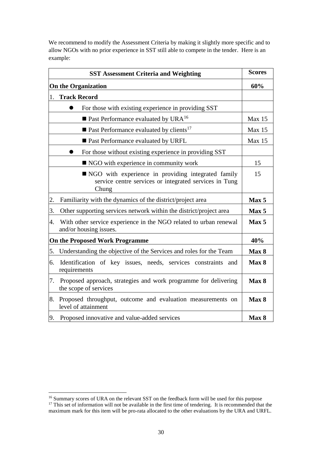We recommend to modify the Assessment Criteria by making it slightly more specific and to allow NGOs with no prior experience in SST still able to compete in the tender. Here is an example:

|    | <b>SST Assessment Criteria and Weighting</b>                                                                            | <b>Scores</b>    |
|----|-------------------------------------------------------------------------------------------------------------------------|------------------|
|    | <b>On the Organization</b>                                                                                              | 60%              |
| 1. | <b>Track Record</b>                                                                                                     |                  |
|    | For those with existing experience in providing SST                                                                     |                  |
|    | $\blacksquare$ Past Performance evaluated by URA <sup>16</sup>                                                          | Max 15           |
|    | $\blacksquare$ Past Performance evaluated by clients <sup>17</sup>                                                      | Max 15           |
|    | ■ Past Performance evaluated by URFL                                                                                    | Max 15           |
|    | For those without existing experience in providing SST                                                                  |                  |
|    | ■ NGO with experience in community work                                                                                 | 15               |
|    | ■ NGO with experience in providing integrated family<br>service centre services or integrated services in Tung<br>Chung | 15               |
| 2. | Familiarity with the dynamics of the district/project area                                                              | Max <sub>5</sub> |
| 3. | Other supporting services network within the district/project area                                                      | Max 5            |
| 4. | With other service experience in the NGO related to urban renewal<br>and/or housing issues.                             | Max <sub>5</sub> |
|    | <b>On the Proposed Work Programme</b>                                                                                   | 40%              |
| 5. | Understanding the objective of the Services and roles for the Team                                                      | Max 8            |
| 6. | Identification of key issues, needs, services constraints<br>and<br>requirements                                        | Max 8            |
| 7. | Proposed approach, strategies and work programme for delivering<br>the scope of services                                | Max 8            |
| 8. | Proposed throughput, outcome and evaluation measurements on<br>level of attainment                                      | Max 8            |
| 9. | Proposed innovative and value-added services                                                                            | Max 8            |

 $\overline{a}$ <sup>16</sup> Summary scores of URA on the relevant SST on the feedback form will be used for this purpose <sup>17</sup> This set of information will not be available in the first time of tendering. It is recommended that the

maximum mark for this item will be pro-rata allocated to the other evaluations by the URA and URFL.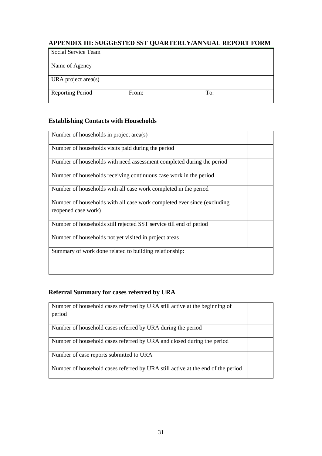# <span id="page-31-0"></span>**APPENDIX III: SUGGESTED SST QUARTERLY/ANNUAL REPORT FORM**

| Social Service Team     |       |     |
|-------------------------|-------|-----|
| Name of Agency          |       |     |
| URA project area(s)     |       |     |
| <b>Reporting Period</b> | From: | To: |

### **Establishing Contacts with Households**

| Number of households in project area(s)                                                        |  |
|------------------------------------------------------------------------------------------------|--|
| Number of households visits paid during the period                                             |  |
| Number of households with need assessment completed during the period                          |  |
| Number of households receiving continuous case work in the period                              |  |
| Number of households with all case work completed in the period                                |  |
| Number of households with all case work completed ever since (excluding<br>reopened case work) |  |
| Number of households still rejected SST service till end of period                             |  |
| Number of households not yet visited in project areas                                          |  |
| Summary of work done related to building relationship:                                         |  |

# **Referral Summary for cases referred by URA**

| Number of household cases referred by URA still active at the beginning of<br>period |  |
|--------------------------------------------------------------------------------------|--|
|                                                                                      |  |
| Number of household cases referred by URA during the period                          |  |
| Number of household cases referred by URA and closed during the period               |  |
| Number of case reports submitted to URA                                              |  |
| Number of household cases referred by URA still active at the end of the period      |  |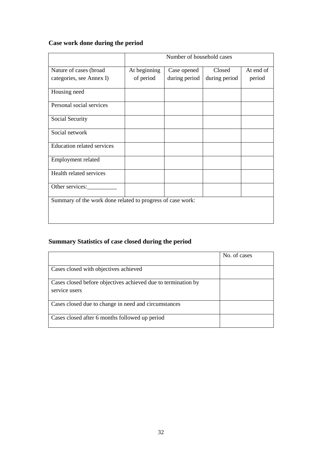# **Case work done during the period**

|                                                            | Number of household cases |               |               |           |  |
|------------------------------------------------------------|---------------------------|---------------|---------------|-----------|--|
| Nature of cases (broad                                     | At beginning              | Case opened   | Closed        | At end of |  |
| categories, see Annex I)                                   | of period                 | during period | during period | period    |  |
| Housing need                                               |                           |               |               |           |  |
| Personal social services                                   |                           |               |               |           |  |
| Social Security                                            |                           |               |               |           |  |
| Social network                                             |                           |               |               |           |  |
| <b>Education related services</b>                          |                           |               |               |           |  |
| Employment related                                         |                           |               |               |           |  |
| Health related services                                    |                           |               |               |           |  |
| Other services:                                            |                           |               |               |           |  |
| Summary of the work done related to progress of case work: |                           |               |               |           |  |

# **Summary Statistics of case closed during the period**

|                                                               | No. of cases |
|---------------------------------------------------------------|--------------|
|                                                               |              |
| Cases closed with objectives achieved                         |              |
| Cases closed before objectives achieved due to termination by |              |
|                                                               |              |
| service users                                                 |              |
| Cases closed due to change in need and circumstances          |              |
|                                                               |              |
| Cases closed after 6 months followed up period                |              |
|                                                               |              |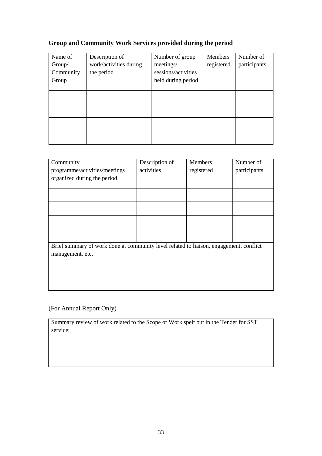# **Group and Community Work Services provided during the period**

| Name of   | Description of         | Number of group     | Members    | Number of    |
|-----------|------------------------|---------------------|------------|--------------|
| Group/    | work/activities during | meetings/           | registered | participants |
| Community | the period             | sessions/activities |            |              |
| Group     |                        | held during period  |            |              |
|           |                        |                     |            |              |
|           |                        |                     |            |              |
|           |                        |                     |            |              |
|           |                        |                     |            |              |
|           |                        |                     |            |              |
|           |                        |                     |            |              |
|           |                        |                     |            |              |
|           |                        |                     |            |              |
|           |                        |                     |            |              |

| Community                                                                              | Description of | <b>Members</b> | Number of    |
|----------------------------------------------------------------------------------------|----------------|----------------|--------------|
| programme/activities/meetings                                                          | activities     | registered     | participants |
| organized during the period                                                            |                |                |              |
|                                                                                        |                |                |              |
|                                                                                        |                |                |              |
|                                                                                        |                |                |              |
|                                                                                        |                |                |              |
|                                                                                        |                |                |              |
|                                                                                        |                |                |              |
|                                                                                        |                |                |              |
| Brief summary of work done at community level related to liaison, engagement, conflict |                |                |              |
| management, etc.                                                                       |                |                |              |
|                                                                                        |                |                |              |
|                                                                                        |                |                |              |
|                                                                                        |                |                |              |
|                                                                                        |                |                |              |

# (For Annual Report Only)

Summary review of work related to the Scope of Work spelt out in the Tender for SST service: